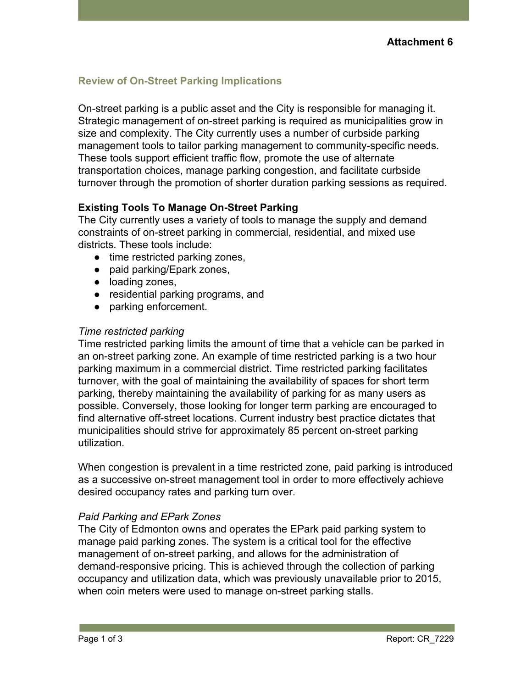# **Review of On-Street Parking Implications**

On-street parking is a public asset and the City is responsible for managing it. Strategic management of on-street parking is required as municipalities grow in size and complexity. The City currently uses a number of curbside parking management tools to tailor parking management to community-specific needs. These tools support efficient traffic flow, promote the use of alternate transportation choices, manage parking congestion, and facilitate curbside turnover through the promotion of shorter duration parking sessions as required.

# **Existing Tools To Manage On-Street Parking**

The City currently uses a variety of tools to manage the supply and demand constraints of on-street parking in commercial, residential, and mixed use districts. These tools include:

- time restricted parking zones,
- paid parking/Epark zones,
- loading zones,
- residential parking programs, and
- parking enforcement.

### *Time restricted parking*

Time restricted parking limits the amount of time that a vehicle can be parked in an on-street parking zone. An example of time restricted parking is a two hour parking maximum in a commercial district. Time restricted parking facilitates turnover, with the goal of maintaining the availability of spaces for short term parking, thereby maintaining the availability of parking for as many users as possible. Conversely, those looking for longer term parking are encouraged to find alternative off-street locations. Current industry best practice dictates that municipalities should strive for approximately 85 percent on-street parking utilization.

When congestion is prevalent in a time restricted zone, paid parking is introduced as a successive on-street management tool in order to more effectively achieve desired occupancy rates and parking turn over.

### *Paid Parking and EPark Zones*

The City of Edmonton owns and operates the EPark paid parking system to manage paid parking zones. The system is a critical tool for the effective management of on-street parking, and allows for the administration of demand-responsive pricing. This is achieved through the collection of parking occupancy and utilization data, which was previously unavailable prior to 2015, when coin meters were used to manage on-street parking stalls.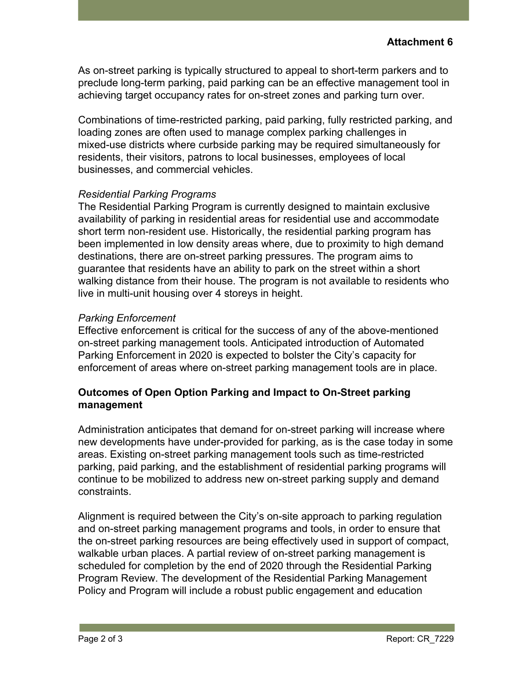As on-street parking is typically structured to appeal to short-term parkers and to preclude long-term parking, paid parking can be an effective management tool in achieving target occupancy rates for on-street zones and parking turn over.

Combinations of time-restricted parking, paid parking, fully restricted parking, and loading zones are often used to manage complex parking challenges in mixed-use districts where curbside parking may be required simultaneously for residents, their visitors, patrons to local businesses, employees of local businesses, and commercial vehicles.

#### *Residential Parking Programs*

The Residential Parking Program is currently designed to maintain exclusive availability of parking in residential areas for residential use and accommodate short term non-resident use. Historically, the residential parking program has been implemented in low density areas where, due to proximity to high demand destinations, there are on-street parking pressures. The program aims to guarantee that residents have an ability to park on the street within a short walking distance from their house. The program is not available to residents who live in multi-unit housing over 4 storeys in height.

#### *Parking Enforcement*

Effective enforcement is critical for the success of any of the above-mentioned on-street parking management tools. Anticipated introduction of Automated Parking Enforcement in 2020 is expected to bolster the City's capacity for enforcement of areas where on-street parking management tools are in place.

# **Outcomes of Open Option Parking and Impact to On-Street parking management**

Administration anticipates that demand for on-street parking will increase where new developments have under-provided for parking, as is the case today in some areas. Existing on-street parking management tools such as time-restricted parking, paid parking, and the establishment of residential parking programs will continue to be mobilized to address new on-street parking supply and demand constraints.

Alignment is required between the City's on-site approach to parking regulation and on-street parking management programs and tools, in order to ensure that the on-street parking resources are being effectively used in support of compact, walkable urban places. A partial review of on-street parking management is scheduled for completion by the end of 2020 through the Residential Parking Program Review. The development of the Residential Parking Management Policy and Program will include a robust public engagement and education